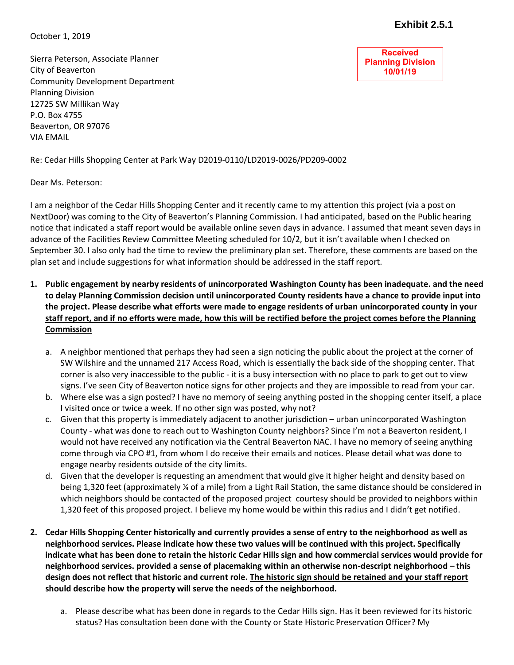October 1, 2019

**Received Planning Division 10/01/19**

Sierra Peterson, Associate Planner City of Beaverton Community Development Department Planning Division 12725 SW Millikan Way P.O. Box 4755 Beaverton, OR 97076 VIA EMAIL

Re: Cedar Hills Shopping Center at Park Way D2019-0110/LD2019-0026/PD209-0002

Dear Ms. Peterson:

I am a neighbor of the Cedar Hills Shopping Center and it recently came to my attention this project (via a post on NextDoor) was coming to the City of Beaverton's Planning Commission. I had anticipated, based on the Public hearing notice that indicated a staff report would be available online seven days in advance. I assumed that meant seven days in advance of the Facilities Review Committee Meeting scheduled for 10/2, but it isn't available when I checked on September 30. I also only had the time to review the preliminary plan set. Therefore, these comments are based on the plan set and include suggestions for what information should be addressed in the staff report.

- **1. Public engagement by nearby residents of unincorporated Washington County has been inadequate. and the need to delay Planning Commission decision until unincorporated County residents have a chance to provide input into the project. Please describe what efforts were made to engage residents of urban unincorporated county in your staff report, and if no efforts were made, how this will be rectified before the project comes before the Planning Commission**
	- a. A neighbor mentioned that perhaps they had seen a sign noticing the public about the project at the corner of SW Wilshire and the unnamed 217 Access Road, which is essentially the back side of the shopping center. That corner is also very inaccessible to the public - it is a busy intersection with no place to park to get out to view signs. I've seen City of Beaverton notice signs for other projects and they are impossible to read from your car.
	- b. Where else was a sign posted? I have no memory of seeing anything posted in the shopping center itself, a place I visited once or twice a week. If no other sign was posted, why not?
	- c. Given that this property is immediately adjacent to another jurisdiction urban unincorporated Washington County - what was done to reach out to Washington County neighbors? Since I'm not a Beaverton resident, I would not have received any notification via the Central Beaverton NAC. I have no memory of seeing anything come through via CPO #1, from whom I do receive their emails and notices. Please detail what was done to engage nearby residents outside of the city limits.
	- d. Given that the developer is requesting an amendment that would give it higher height and density based on being 1,320 feet (approximately ¼ of a mile) from a Light Rail Station, the same distance should be considered in which neighbors should be contacted of the proposed project courtesy should be provided to neighbors within 1,320 feet of this proposed project. I believe my home would be within this radius and I didn't get notified.
- **2. Cedar Hills Shopping Center historically and currently provides a sense of entry to the neighborhood as well as neighborhood services. Please indicate how these two values will be continued with this project. Specifically indicate what has been done to retain the historic Cedar Hills sign and how commercial services would provide for neighborhood services. provided a sense of placemaking within an otherwise non-descript neighborhood – this design does not reflect that historic and current role. The historic sign should be retained and your staff report should describe how the property will serve the needs of the neighborhood.**
	- a. Please describe what has been done in regards to the Cedar Hills sign. Has it been reviewed for its historic status? Has consultation been done with the County or State Historic Preservation Officer? My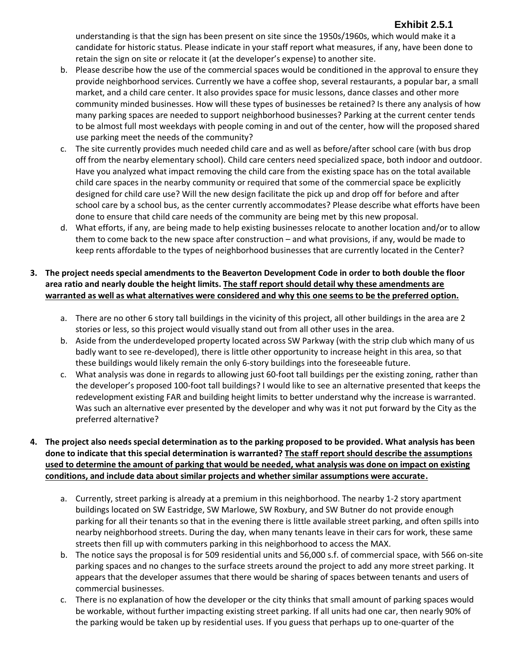# **Exhibit 2.5.1**

understanding is that the sign has been present on site since the 1950s/1960s, which would make it a candidate for historic status. Please indicate in your staff report what measures, if any, have been done to retain the sign on site or relocate it (at the developer's expense) to another site.

- b. Please describe how the use of the commercial spaces would be conditioned in the approval to ensure they provide neighborhood services. Currently we have a coffee shop, several restaurants, a popular bar, a small market, and a child care center. It also provides space for music lessons, dance classes and other more community minded businesses. How will these types of businesses be retained? Is there any analysis of how many parking spaces are needed to support neighborhood businesses? Parking at the current center tends to be almost full most weekdays with people coming in and out of the center, how will the proposed shared use parking meet the needs of the community?
- c. The site currently provides much needed child care and as well as before/after school care (with bus drop off from the nearby elementary school). Child care centers need specialized space, both indoor and outdoor. Have you analyzed what impact removing the child care from the existing space has on the total available child care spaces in the nearby community or required that some of the commercial space be explicitly designed for child care use? Will the new design facilitate the pick up and drop off for before and after school care by a school bus, as the center currently accommodates? Please describe what efforts have been done to ensure that child care needs of the community are being met by this new proposal.
- d. What efforts, if any, are being made to help existing businesses relocate to another location and/or to allow them to come back to the new space after construction – and what provisions, if any, would be made to keep rents affordable to the types of neighborhood businesses that are currently located in the Center?

#### **3. The project needs special amendments to the Beaverton Development Code in order to both double the floor area ratio and nearly double the height limits. The staff report should detail why these amendments are warranted as well as what alternatives were considered and why this one seems to be the preferred option.**

- a. There are no other 6 story tall buildings in the vicinity of this project, all other buildings in the area are 2 stories or less, so this project would visually stand out from all other uses in the area.
- b. Aside from the underdeveloped property located across SW Parkway (with the strip club which many of us badly want to see re-developed), there is little other opportunity to increase height in this area, so that these buildings would likely remain the only 6-story buildings into the foreseeable future.
- c. What analysis was done in regards to allowing just 60-foot tall buildings per the existing zoning, rather than the developer's proposed 100-foot tall buildings? I would like to see an alternative presented that keeps the redevelopment existing FAR and building height limits to better understand why the increase is warranted. Was such an alternative ever presented by the developer and why was it not put forward by the City as the preferred alternative?

#### **4. The project also needs special determination as to the parking proposed to be provided. What analysis has been done to indicate that this special determination is warranted? The staff report should describe the assumptions used to determine the amount of parking that would be needed, what analysis was done on impact on existing conditions, and include data about similar projects and whether similar assumptions were accurate.**

- a. Currently, street parking is already at a premium in this neighborhood. The nearby 1-2 story apartment buildings located on SW Eastridge, SW Marlowe, SW Roxbury, and SW Butner do not provide enough parking for all their tenants so that in the evening there is little available street parking, and often spills into nearby neighborhood streets. During the day, when many tenants leave in their cars for work, these same streets then fill up with commuters parking in this neighborhood to access the MAX.
- b. The notice says the proposal is for 509 residential units and 56,000 s.f. of commercial space, with 566 on-site parking spaces and no changes to the surface streets around the project to add any more street parking. It appears that the developer assumes that there would be sharing of spaces between tenants and users of commercial businesses.
- c. There is no explanation of how the developer or the city thinks that small amount of parking spaces would be workable, without further impacting existing street parking. If all units had one car, then nearly 90% of the parking would be taken up by residential uses. If you guess that perhaps up to one-quarter of the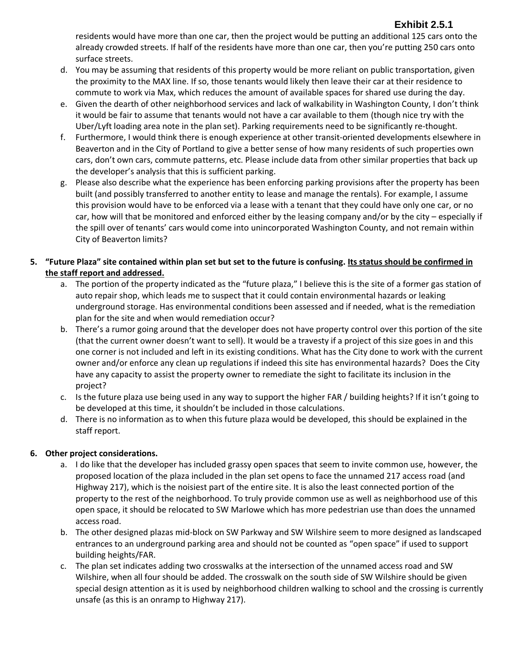# **Exhibit 2.5.1**

residents would have more than one car, then the project would be putting an additional 125 cars onto the already crowded streets. If half of the residents have more than one car, then you're putting 250 cars onto surface streets.

- d. You may be assuming that residents of this property would be more reliant on public transportation, given the proximity to the MAX line. If so, those tenants would likely then leave their car at their residence to commute to work via Max, which reduces the amount of available spaces for shared use during the day.
- e. Given the dearth of other neighborhood services and lack of walkability in Washington County, I don't think it would be fair to assume that tenants would not have a car available to them (though nice try with the Uber/Lyft loading area note in the plan set). Parking requirements need to be significantly re-thought.
- f. Furthermore, I would think there is enough experience at other transit-oriented developments elsewhere in Beaverton and in the City of Portland to give a better sense of how many residents of such properties own cars, don't own cars, commute patterns, etc. Please include data from other similar properties that back up the developer's analysis that this is sufficient parking.
- g. Please also describe what the experience has been enforcing parking provisions after the property has been built (and possibly transferred to another entity to lease and manage the rentals). For example, I assume this provision would have to be enforced via a lease with a tenant that they could have only one car, or no car, how will that be monitored and enforced either by the leasing company and/or by the city – especially if the spill over of tenants' cars would come into unincorporated Washington County, and not remain within City of Beaverton limits?

#### **5. "Future Plaza" site contained within plan set but set to the future is confusing. Its status should be confirmed in the staff report and addressed.**

- a. The portion of the property indicated as the "future plaza," I believe this is the site of a former gas station of auto repair shop, which leads me to suspect that it could contain environmental hazards or leaking underground storage. Has environmental conditions been assessed and if needed, what is the remediation plan for the site and when would remediation occur?
- b. There's a rumor going around that the developer does not have property control over this portion of the site (that the current owner doesn't want to sell). It would be a travesty if a project of this size goes in and this one corner is not included and left in its existing conditions. What has the City done to work with the current owner and/or enforce any clean up regulations if indeed this site has environmental hazards? Does the City have any capacity to assist the property owner to remediate the sight to facilitate its inclusion in the project?
- c. Is the future plaza use being used in any way to support the higher FAR / building heights? If it isn't going to be developed at this time, it shouldn't be included in those calculations.
- d. There is no information as to when this future plaza would be developed, this should be explained in the staff report.

# **6. Other project considerations.**

- a. I do like that the developer has included grassy open spaces that seem to invite common use, however, the proposed location of the plaza included in the plan set opens to face the unnamed 217 access road (and Highway 217), which is the noisiest part of the entire site. It is also the least connected portion of the property to the rest of the neighborhood. To truly provide common use as well as neighborhood use of this open space, it should be relocated to SW Marlowe which has more pedestrian use than does the unnamed access road.
- b. The other designed plazas mid-block on SW Parkway and SW Wilshire seem to more designed as landscaped entrances to an underground parking area and should not be counted as "open space" if used to support building heights/FAR.
- c. The plan set indicates adding two crosswalks at the intersection of the unnamed access road and SW Wilshire, when all four should be added. The crosswalk on the south side of SW Wilshire should be given special design attention as it is used by neighborhood children walking to school and the crossing is currently unsafe (as this is an onramp to Highway 217).